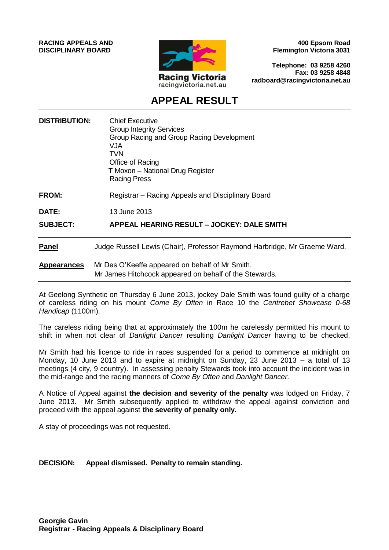**RACING APPEALS AND DISCIPLINARY BOARD**



**400 Epsom Road Flemington Victoria 3031**

**Telephone: 03 9258 4260 Fax: 03 9258 4848 radboard@racingvictoria.net.au**

## **APPEAL RESULT**

| <b>DISTRIBUTION:</b> | <b>Chief Executive</b><br><b>Group Integrity Services</b><br>Group Racing and Group Racing Development<br>VJA<br>TVN<br>Office of Racing<br>T Moxon - National Drug Register<br><b>Racing Press</b> |
|----------------------|-----------------------------------------------------------------------------------------------------------------------------------------------------------------------------------------------------|
| FROM:                | Registrar – Racing Appeals and Disciplinary Board                                                                                                                                                   |
| <b>DATE:</b>         | 13 June 2013                                                                                                                                                                                        |
| <b>SUBJECT:</b>      | APPEAL HEARING RESULT - JOCKEY: DALE SMITH                                                                                                                                                          |
| <b>Panel</b>         | Judge Russell Lewis (Chair), Professor Raymond Harbridge, Mr Graeme Ward.                                                                                                                           |
| <b>Appearances</b>   | Mr Des O'Keeffe appeared on behalf of Mr Smith.<br>Mr James Hitchcock appeared on behalf of the Stewards.                                                                                           |

At Geelong Synthetic on Thursday 6 June 2013, jockey Dale Smith was found guilty of a charge of careless riding on his mount *Come By Often* in Race 10 the *Centrebet Showcase 0-68 Handicap* (1100m).

The careless riding being that at approximately the 100m he carelessly permitted his mount to shift in when not clear of *Danlight Dancer* resulting *Danlight Dancer* having to be checked.

Mr Smith had his licence to ride in races suspended for a period to commence at midnight on Monday, 10 June 2013 and to expire at midnight on Sunday, 23 June 2013 – a total of 13 meetings (4 city, 9 country). In assessing penalty Stewards took into account the incident was in the mid-range and the racing manners of *Come By Often* and *Danlight Dancer.*

A Notice of Appeal against **the decision and severity of the penalty** was lodged on Friday, 7 June 2013. Mr Smith subsequently applied to withdraw the appeal against conviction and proceed with the appeal against **the severity of penalty only.**

A stay of proceedings was not requested.

**DECISION: Appeal dismissed. Penalty to remain standing.**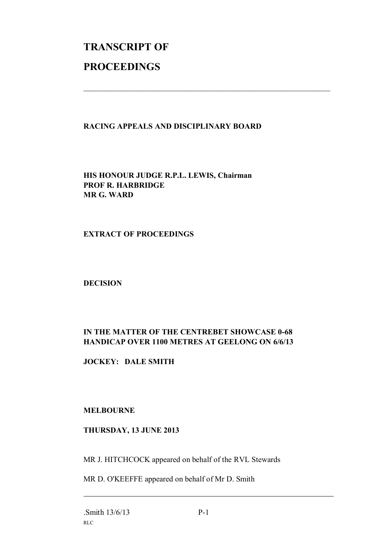# **TRANSCRIPT OF PROCEEDINGS**

#### **RACING APPEALS AND DISCIPLINARY BOARD**

 $\mathcal{L}_\text{max}$  , and the contribution of the contribution of the contribution of the contribution of the contribution of the contribution of the contribution of the contribution of the contribution of the contribution of t

**HIS HONOUR JUDGE R.P.L. LEWIS, Chairman PROF R. HARBRIDGE MR G. WARD**

#### **EXTRACT OF PROCEEDINGS**

**DECISION**

### **IN THE MATTER OF THE CENTREBET SHOWCASE 0-68 HANDICAP OVER 1100 METRES AT GEELONG ON 6/6/13**

**JOCKEY: DALE SMITH**

#### **MELBOURNE**

#### **THURSDAY, 13 JUNE 2013**

MR J. HITCHCOCK appeared on behalf of the RVL Stewards

MR D. O'KEEFFE appeared on behalf of Mr D. Smith